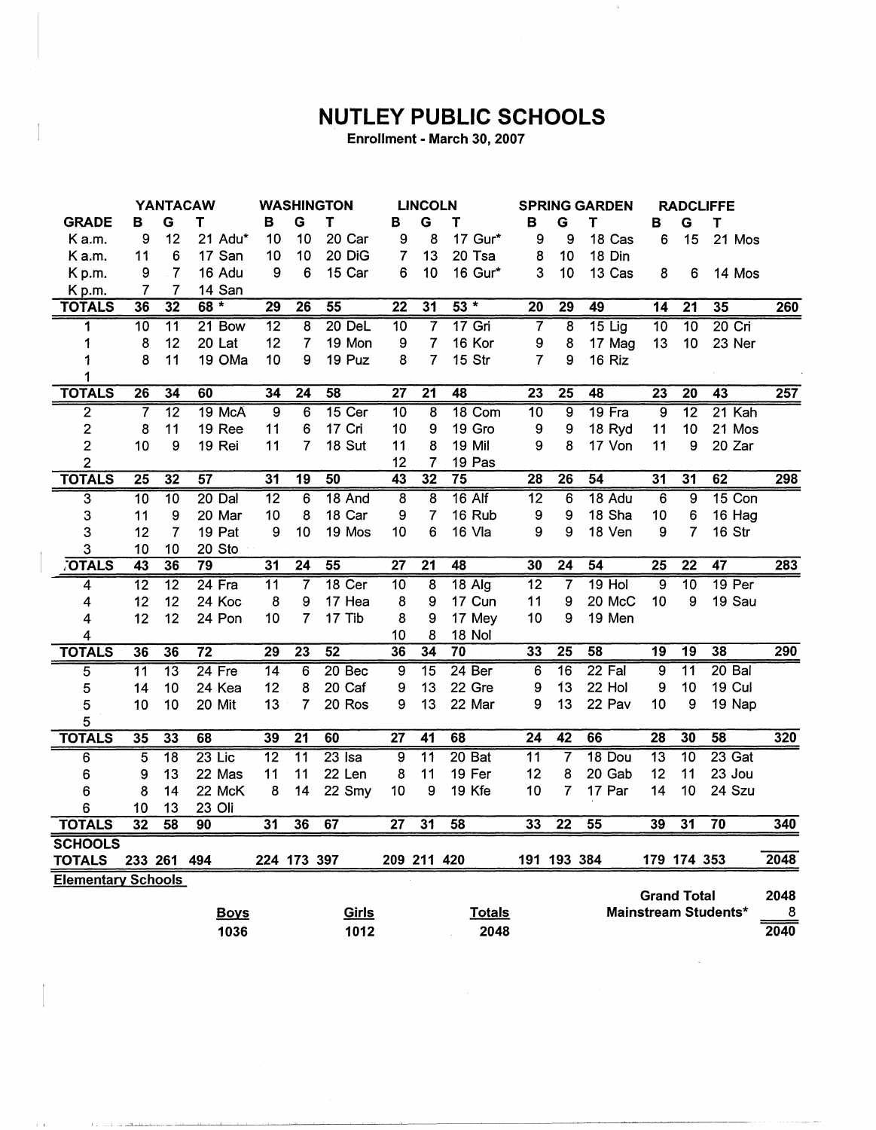## **NUTLEY PUBLIC SCHOOLS**

Enrollment - March 30, 2007

|                           | <b>YANTACAW</b> |                 |                 | <b>WASHINGTON</b> |                 |                   | <b>LINCOLN</b>  |                         |                   | <b>SPRING GARDEN</b> |                 |                 | <b>RADCLIFFE</b>   |                  |                      |      |
|---------------------------|-----------------|-----------------|-----------------|-------------------|-----------------|-------------------|-----------------|-------------------------|-------------------|----------------------|-----------------|-----------------|--------------------|------------------|----------------------|------|
| <b>GRADE</b>              | в               | G               | Τ               | в                 | G               | T                 | в               | G                       | Т                 | в                    | G               | Т               | в                  | G                | Т                    |      |
| K a.m.                    | 9               | 12              | 21 Adu*         | 10                | 10              | 20 Car            | 9               | 8                       | 17 Gur*           | 9                    | 9               | 18 Cas          | 6                  | 15               | 21 Mos               |      |
| K a.m.                    | 11              | 6               | 17 San          | 10                | 10              | 20 DiG            | 7               | 13                      | 20 Tsa            | 8                    | 10              | 18 Din          |                    |                  |                      |      |
| Kp.m.                     | 9               | $\overline{7}$  | 16 Adu          | 9                 | $6\phantom{1}6$ | 15 Car            | 6               | 10                      | 16 Gur*           | 3                    | 10              | 13 Cas          | 8                  | $\boldsymbol{6}$ | 14 Mos               |      |
| Kp.m.                     | 7               | 7               | 14 San          |                   |                 |                   |                 |                         |                   |                      |                 |                 |                    |                  |                      |      |
| <b>TOTALS</b>             | 36              | 32              | $68 *$          | $\overline{29}$   | $\overline{26}$ | $\overline{55}$   | $\overline{22}$ | $\overline{31}$         | $53*$             | $\overline{20}$      | $\overline{29}$ | 49              | $\overline{14}$    | $\overline{21}$  | 35                   | 260  |
| 1                         | 10              | $\overline{11}$ | 21 Bow          | $\overline{12}$   | $\overline{8}$  | $20$ DeL          | $\overline{10}$ | $\overline{7}$          | $17$ Gri          | 7                    | $\overline{8}$  | $15$ Lig        | $\overline{10}$    | $\overline{10}$  | $20$ Cri             |      |
| 1                         | 8               | 12              | 20 Lat          | 12                | $\overline{7}$  | 19 Mon            | 9               | $\overline{7}$          | 16 Kor            | 9                    | 8               | 17 Mag          | 13                 | 10               | 23 Ner               |      |
| 1                         | 8               | 11              | 19 OMa          | 10                | 9               | 19 Puz            | 8               | 7                       | 15 Str            | 7                    | 9               | 16 Riz          |                    |                  |                      |      |
| 1                         |                 |                 |                 |                   |                 |                   |                 |                         |                   |                      |                 |                 |                    |                  |                      |      |
| <b>TOTALS</b>             | $\overline{26}$ | 34              | 60              | 34                | 24              | 58                | $\overline{27}$ | $\overline{21}$         | 48                | $\overline{23}$      | $\overline{25}$ | 48              | $\overline{23}$    | $\overline{20}$  | $\overline{43}$      | 257  |
| $\overline{2}$            | $\overline{7}$  | $\overline{12}$ | 19 McA          | $\overline{9}$    | $\overline{6}$  | $15$ Cer          | $\overline{10}$ | $\overline{\mathbf{8}}$ | 18 Com            | $\overline{10}$      | $\overline{9}$  | $19$ Fra        | $\overline{9}$     | $\overline{12}$  | $21$ Kah             |      |
| $\overline{\mathbf{c}}$   | 8               | 11              | 19 Ree          | 11                | 6               | 17 Cri            | 10              | 9                       | 19 Gro            | 9                    | 9               | 18 Ryd          | 11                 | 10               | 21 Mos               |      |
| $\overline{\mathbf{c}}$   | 10              | 9               | 19 Rei          | 11                | 7               | 18 Sut            | 11              | 8                       | 19 Mil            | 9                    | 8               | 17 Von          | 11                 | 9                | 20 Zar               |      |
| $\overline{2}$            |                 |                 |                 |                   |                 |                   | 12              | $\overline{7}$          | 19 Pas            |                      |                 |                 |                    |                  |                      |      |
| <b>TOTALS</b>             | $\overline{25}$ | 32              | $\overline{57}$ | 31                | 19              | 50                | $\overline{43}$ | $\overline{32}$         | 75                | $\overline{28}$      | $\overline{26}$ | 54              | 31                 | 31               | 62                   | 298  |
| $\overline{3}$            | $\overline{10}$ | $\overline{10}$ | 20 Dal          | $\overline{12}$   | 6               | 18 And            | $\overline{8}$  | $\overline{8}$          | $16$ Alf          | $\overline{12}$      | $6\overline{6}$ | 18 Adu          | 6                  | $\overline{9}$   | 15 Con               |      |
| 3                         | 11              | 9               | 20 Mar          | 10                | 8               | 18 Car            | 9               | 7                       | 16 Rub            | $\boldsymbol{9}$     | 9               | 18 Sha          | 10                 | 6                | 16 Hag               |      |
| 3                         | 12              | $\overline{7}$  | 19 Pat          | 9                 | 10              | 19 Mos            | 10              | 6                       | 16 Vla            | 9                    | 9               | 18 Ven          | 9                  | $\overline{7}$   | <b>16 Str</b>        |      |
| 3                         | 10              | 10              | 20 Sto          |                   |                 |                   |                 |                         |                   |                      |                 |                 |                    |                  |                      |      |
| <b>OTALS</b>              | $\overline{43}$ | 36              | 79              | 31                | $\overline{24}$ | 55                | $\overline{27}$ | $\overline{21}$         | 48                | 30                   | 24              | 54              | $\overline{25}$    | $\overline{22}$  | $\overline{47}$      | 283  |
| 4                         | $\overline{12}$ | $\overline{12}$ | $24$ Fra        | $\overline{11}$   | 7               | 18 <sub>cer</sub> | $\overline{10}$ | $\overline{8}$          | $18$ Alg          | $\overline{12}$      | $\overline{7}$  | $19$ Hol        | $\overline{9}$     | $\overline{10}$  | 19 <sup>Per</sup>    |      |
| 4                         | 12              | 12              | 24 Koc          | 8                 | 9               | 17 Hea            | 8               | 9                       | 17 Cun            | 11                   | 9               | 20 McC          | 10                 | 9                | 19 Sau               |      |
| 4                         | 12              | 12              | 24 Pon          | 10                | $\overline{7}$  | 17 Tib            | 8               | 9                       | 17 Mey            | 10                   | 9               | 19 Men          |                    |                  |                      |      |
| 4                         |                 |                 |                 |                   |                 |                   | 10              | 8                       | 18 Nol            |                      |                 |                 |                    |                  |                      |      |
| <b>TOTALS</b>             | 36              | 36              | $\overline{72}$ | 29                | $\overline{23}$ | 52                | 36              | 34                      | 70                | 33                   | $\overline{25}$ | $\overline{58}$ | $\overline{19}$    | $\overline{19}$  | 38                   | 290  |
| 5                         | $\overline{11}$ | $\overline{13}$ | $24$ Fre        | $\overline{14}$   | $\overline{6}$  | 20 Bec            | 9               | $\overline{15}$         | 24 <sub>Ber</sub> | 6                    | $\overline{16}$ | $22$ Fal        | 9                  | $\overline{11}$  | $20$ Bal             |      |
| 5                         | 14              | 10              | 24 Kea          | 12                | 8               | 20 Caf            | 9               | 13                      | 22 Gre            | 9                    | 13              | 22 Hol          | 9                  | 10               | 19 Cul               |      |
| 5                         | 10              | 10              | 20 Mit          | 13                | 7               | 20 Ros            | 9               | 13                      | 22 Mar            | 9                    | 13              | 22 Pav          | 10                 | 9                | 19 Nap               |      |
| 5                         |                 |                 |                 |                   |                 |                   |                 |                         |                   |                      |                 |                 |                    |                  |                      |      |
| <b>TOTALS</b>             | 35              | 33              | 68              | 39                | $\overline{21}$ | 60                | $\overline{27}$ | $\overline{41}$         | 68                | $\overline{24}$      | $\overline{42}$ | 66              | 28                 | 30               | 58                   | 320  |
| 6                         | $\overline{5}$  | $\overline{18}$ | $23$ Lic        | $\overline{12}$   | $\overline{11}$ | $23$ Isa          | $\overline{9}$  | $\overline{11}$         | 20 <sub>Bat</sub> | $\overline{11}$      | 7               | 18 Dou          | $\overline{13}$    | $\overline{10}$  | $23$ Gat             |      |
| 6                         | 9               | 13              | 22 Mas          | 11                | 11              | 22 Len            | 8               | 11                      | 19 Fer            | 12                   | 8               | 20 Gab          | 12                 | 11               | 23 Jou               |      |
| 6                         | 8               | 14              | 22 McK          | 8                 | 14              | 22 Smy            | 10              | 9                       | 19 Kfe            | 10                   | 7               | 17 Par          | 14                 | 10               | 24 Szu               |      |
| 6                         | 10              | 13              | 23 Oli          |                   |                 |                   |                 |                         |                   |                      |                 |                 |                    |                  |                      |      |
| <b>TOTALS</b>             | $\overline{32}$ | $\overline{58}$ | 90              | 31                | 36              | 67                | 27              | 31                      | 58                | 33                   | $\overline{22}$ | $\overline{55}$ | 39                 | $\overline{31}$  | $\overline{70}$      | 340  |
| <b>SCHOOLS</b>            |                 |                 |                 |                   |                 |                   |                 |                         |                   |                      |                 |                 |                    |                  |                      |      |
| <b>TOTALS</b>             | 233 261 494     |                 |                 |                   | 224 173 397     |                   | 209 211 420     |                         |                   |                      | 191 193 384     |                 |                    | 179 174 353      |                      | 2048 |
| <b>Elementary Schools</b> |                 |                 |                 |                   |                 |                   |                 |                         |                   |                      |                 |                 |                    |                  |                      |      |
|                           |                 |                 |                 |                   |                 |                   |                 |                         |                   |                      |                 |                 | <b>Grand Total</b> |                  |                      | 2048 |
|                           |                 |                 | <b>Boys</b>     |                   |                 | Girls             |                 |                         | <b>Totals</b>     |                      |                 |                 |                    |                  | Mainstream Students* | 8    |
|                           |                 |                 | 1036            |                   |                 | 1012              |                 |                         | 2048              |                      |                 |                 |                    |                  |                      | 2040 |